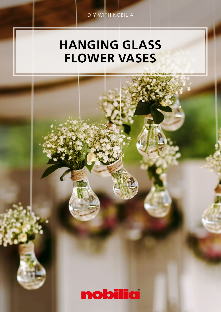# HANGING GLASS FLOWER VASES